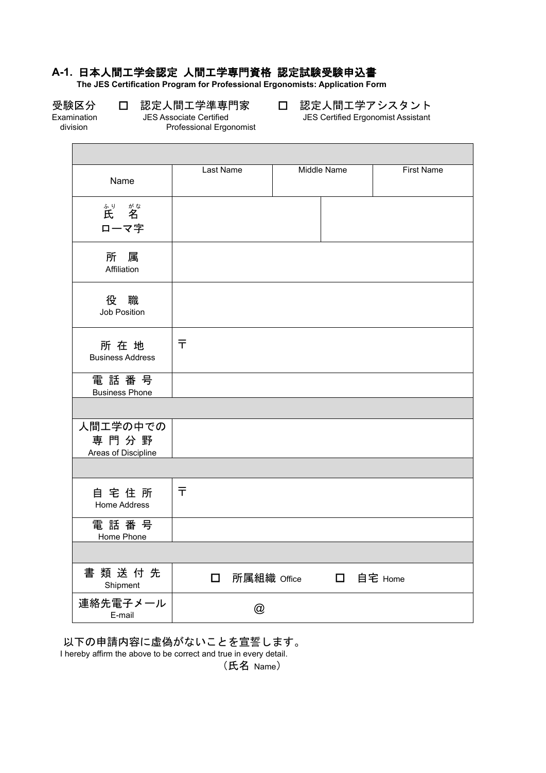## **A-1.** 日本人間工学会認定 人間工学専門資格 認定試験受験申込書

Professional Ergonomist

**The JES Certification Program for Professional Ergonomists: Application Form**

Г

受験区分 口 認定人間工学準専門家 口 認定人間工学アシスタント<br>Examination JES Associate Certified Super Sues Certified Ergonomist Assistant Examination JES Associate Certified JES Certified Ergonomist Assistant

ī

| Name                                    | Last Name    |   | <b>Middle Name</b> |                       | <b>First Name</b> |
|-----------------------------------------|--------------|---|--------------------|-----------------------|-------------------|
| <sup>ふり がな</sup><br>氏 名<br>ローマ字         |              |   |                    |                       |                   |
| 所属<br>Affiliation                       |              |   |                    |                       |                   |
| 役 職<br>Job Position                     |              |   |                    |                       |                   |
| 所在地<br><b>Business Address</b>          | 〒            |   |                    |                       |                   |
| 電話番号<br><b>Business Phone</b>           |              |   |                    |                       |                   |
|                                         |              |   |                    |                       |                   |
| 人間エ学の中での<br>専門分野<br>Areas of Discipline |              |   |                    |                       |                   |
|                                         |              |   |                    |                       |                   |
| 自宅住所<br><b>Home Address</b>             | $\bar{\tau}$ |   |                    |                       |                   |
| 電話番号<br>Home Phone                      |              |   |                    |                       |                   |
|                                         |              |   |                    |                       |                   |
| 書類送付先<br>Shipment                       | $\Box$       |   |                    | 所属組織 Office □ 自宅 Home |                   |
| 連絡先電子メール<br>E-mail                      |              | @ |                    |                       |                   |

以下の申請内容に虚偽がないことを宣誓します。 I hereby affirm the above to be correct and true in every detail.

(氏名 Name)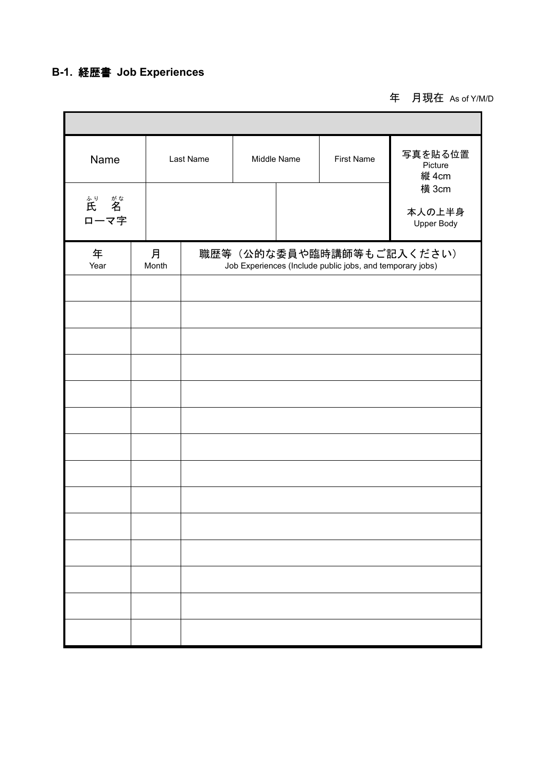# **B-1.** 経歴書 **Job Experiences**

Г

年 月現在 As of Y/M/D

Ť.

| Name                        |            | Last Name | Middle Name<br><b>First Name</b> |  |                                                                                       | 写真を貼る位置<br>Picture<br>縦 4cm          |  |  |  |  |
|-----------------------------|------------|-----------|----------------------------------|--|---------------------------------------------------------------------------------------|--------------------------------------|--|--|--|--|
| ふり がな<br><b>氏 名</b><br>ローマ字 |            |           |                                  |  |                                                                                       | 横 3cm<br>本人の上半身<br><b>Upper Body</b> |  |  |  |  |
| 年<br>Year                   | 月<br>Month |           |                                  |  | 職歴等(公的な委員や臨時講師等もご記入ください)<br>Job Experiences (Include public jobs, and temporary jobs) |                                      |  |  |  |  |
|                             |            |           |                                  |  |                                                                                       |                                      |  |  |  |  |
|                             |            |           |                                  |  |                                                                                       |                                      |  |  |  |  |
|                             |            |           |                                  |  |                                                                                       |                                      |  |  |  |  |
|                             |            |           |                                  |  |                                                                                       |                                      |  |  |  |  |
|                             |            |           |                                  |  |                                                                                       |                                      |  |  |  |  |
|                             |            |           |                                  |  |                                                                                       |                                      |  |  |  |  |
|                             |            |           |                                  |  |                                                                                       |                                      |  |  |  |  |
|                             |            |           |                                  |  |                                                                                       |                                      |  |  |  |  |
|                             |            |           |                                  |  |                                                                                       |                                      |  |  |  |  |
|                             |            |           |                                  |  |                                                                                       |                                      |  |  |  |  |
|                             |            |           |                                  |  |                                                                                       |                                      |  |  |  |  |
|                             |            |           |                                  |  |                                                                                       |                                      |  |  |  |  |
|                             |            |           |                                  |  |                                                                                       |                                      |  |  |  |  |
|                             |            |           |                                  |  |                                                                                       |                                      |  |  |  |  |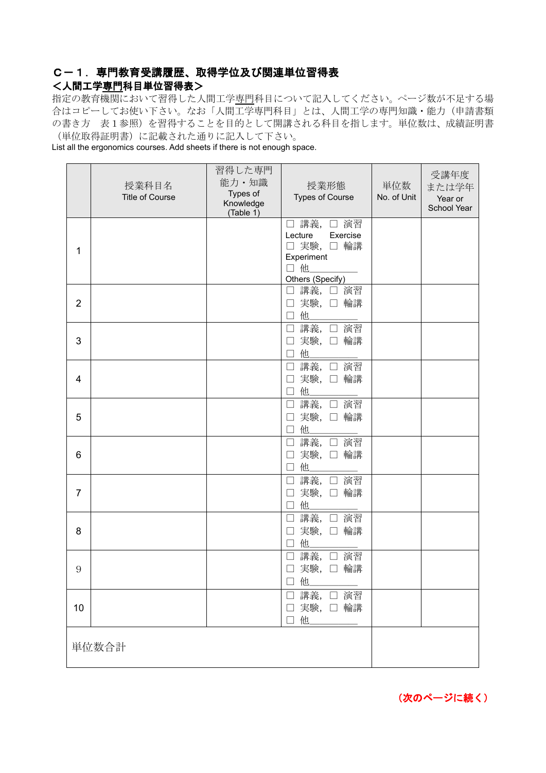## C-1.専門教育受講履歴、取得学位及び関連単位習得表

#### <人間工学専門科目単位習得表>

指定の教育機関において習得した人間工学専門科目について記入してください。ページ数が不足する場 合はコピーしてお使い下さい。なお「人間工学専門科目」とは、人間工学の専門知識・能力(申請書類 の書き方 表1参照)を習得することを目的として開講される科目を指します。単位数は、成績証明書 (単位取得証明書)に記載された通りに記入して下さい。

List all the ergonomics courses. Add sheets if there is not enough space.

|                | 授業科目名<br><b>Title of Course</b> | 習得した専門<br>能力·知識<br>Types of<br>Knowledge<br>(Table 1) | 授業形態<br><b>Types of Course</b>                                                          | 単位数<br>No. of Unit | 受講年度<br>または学年<br>Year or<br>School Year |
|----------------|---------------------------------|-------------------------------------------------------|-----------------------------------------------------------------------------------------|--------------------|-----------------------------------------|
| 1              |                                 |                                                       | □ 講義, □ 演習<br>Lecture<br>Exercise<br>□ 実験, □ 輪講<br>Experiment<br>□他<br>Others (Specify) |                    |                                         |
| $\overline{2}$ |                                 |                                                       | □ 講義, □ 演習<br>□ 実験, □ 輪講<br>□ 他___                                                      |                    |                                         |
| 3              |                                 |                                                       | □ 講義, □ 演習<br>実験, 口 輪講<br>$\Box$<br>他<br>$\Box$                                         |                    |                                         |
| 4              |                                 |                                                       | 講義, □ 演習<br>$\Box$<br>実験, 口 輪講<br>П<br>他<br>$\Box$                                      |                    |                                         |
| 5              |                                 |                                                       | 講義, □ 演習<br>$\Box$<br>実験, 口 輪講<br>他<br>$\Box$                                           |                    |                                         |
| 6              |                                 |                                                       | 講義, □ 演習<br>$\Box$<br>実験, 口輪講<br>他<br>П                                                 |                    |                                         |
| 7              |                                 |                                                       | □ 講義, □ 演習<br>実験, 口輪講<br>$\Box$<br>他<br>$\Box$                                          |                    |                                         |
| 8              |                                 |                                                       | 講義, □ 演習<br>$\Box$<br>実験, 口輪講<br>$\Box$<br>他<br>$\Box$                                  |                    |                                         |
| 9              |                                 |                                                       | 講義,<br>□ 演習<br>$\Box$<br>実験, 口輪講<br>$\Box$<br>他<br>$\vert \ \ \vert$                    |                    |                                         |
| 10             |                                 |                                                       | □ 講義, □ 演習<br>□ 実験, □ 輪講<br>□ 他                                                         |                    |                                         |
|                | 単位数合計                           |                                                       |                                                                                         |                    |                                         |

(次のページに続く)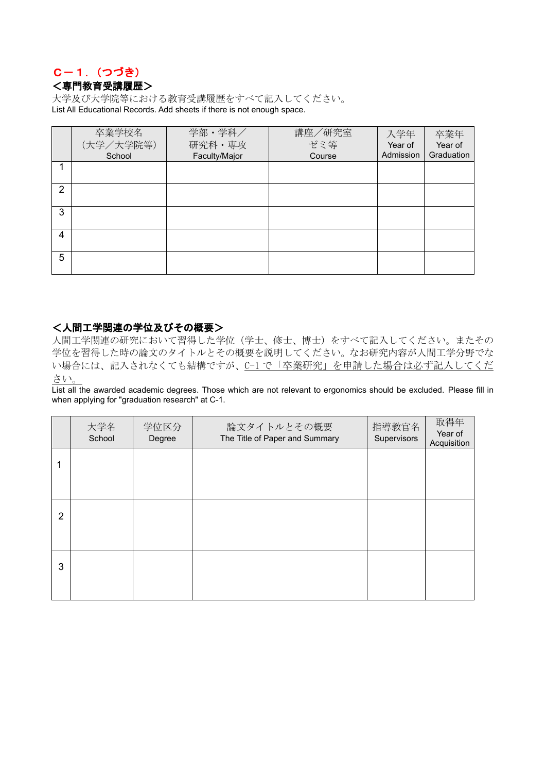### C-1.(つづき) <専門教育受講履歴>

大学及び大学院等における教育受講履歴をすべて記入してください。 List All Educational Records. Add sheets if there is not enough space.

|               | 卒業学校名     | 学部·学科/        | 講座/研究室 | 入学年       | 卒業年        |
|---------------|-----------|---------------|--------|-----------|------------|
|               | (大学/大学院等) | 研究科·専攻        | ゼミ等    | Year of   | Year of    |
|               | School    | Faculty/Major | Course | Admission | Graduation |
|               |           |               |        |           |            |
|               |           |               |        |           |            |
| $\mathcal{P}$ |           |               |        |           |            |
|               |           |               |        |           |            |
| 3             |           |               |        |           |            |
|               |           |               |        |           |            |
| 4             |           |               |        |           |            |
|               |           |               |        |           |            |
| 5             |           |               |        |           |            |
|               |           |               |        |           |            |

#### <人間工学関連の学位及びその概要>

人間工学関連の研究において習得した学位(学士、修士、博士)をすべて記入してください。またその 学位を習得した時の論文のタイトルとその概要を説明してください。なお研究内容が人間工学分野でな い場合には、記入されなくても結構ですが、C-1 で「卒業研究」を申請した場合は必ず記入してくだ さい。

List all the awarded academic degrees. Those which are not relevant to ergonomics should be excluded. Please fill in when applying for "graduation research" at C-1.

|   | 大学名<br>School | 学位区分<br>Degree | 論文タイトルとその概要<br>The Title of Paper and Summary | 指導教官名<br>Supervisors | 取得年<br>Year of<br>Acquisition |
|---|---------------|----------------|-----------------------------------------------|----------------------|-------------------------------|
|   |               |                |                                               |                      |                               |
|   |               |                |                                               |                      |                               |
| 2 |               |                |                                               |                      |                               |
|   |               |                |                                               |                      |                               |
| 3 |               |                |                                               |                      |                               |
|   |               |                |                                               |                      |                               |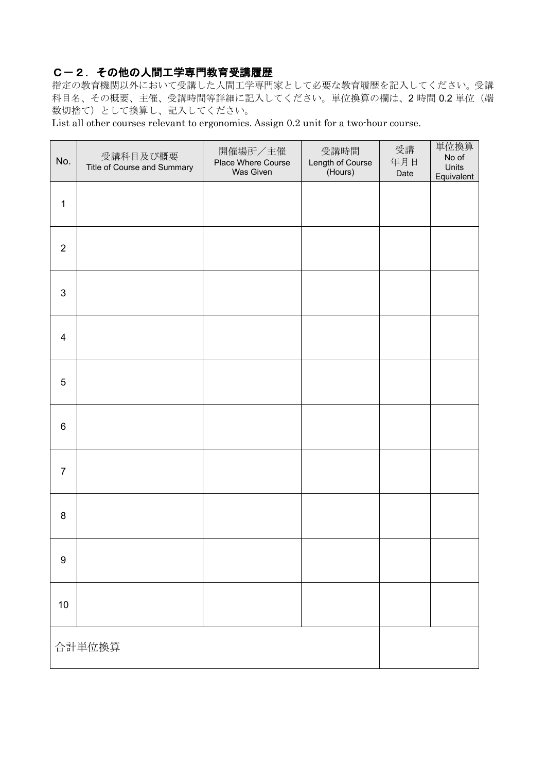### C-2.その他の人間工学専門教育受講履歴

指定の教育機関以外において受講した人間工学専門家として必要な教育履歴を記入してください。受講 科目名、その概要、主催、受講時間等詳細に記入してください。単位換算の欄は、2 時間 0.2 単位(端 数切捨て)として換算し、記入してください。

List all other courses relevant to ergonomics. Assign 0.2 unit for a two-hour course.

| No.              | 受講科目及び概要<br>Title of Course and Summary | 開催場所/主催<br>Place Where Course<br>Was Given | 受講時間<br>Length of Course<br>(Hours) | 受講<br>年月日<br>Date | 単位換算<br>No of<br>Units<br>Equivalent |
|------------------|-----------------------------------------|--------------------------------------------|-------------------------------------|-------------------|--------------------------------------|
| $\mathbf 1$      |                                         |                                            |                                     |                   |                                      |
| $\overline{2}$   |                                         |                                            |                                     |                   |                                      |
| $\mathbf{3}$     |                                         |                                            |                                     |                   |                                      |
| $\overline{4}$   |                                         |                                            |                                     |                   |                                      |
| 5                |                                         |                                            |                                     |                   |                                      |
| $\,6$            |                                         |                                            |                                     |                   |                                      |
| $\overline{7}$   |                                         |                                            |                                     |                   |                                      |
| 8                |                                         |                                            |                                     |                   |                                      |
| $\boldsymbol{9}$ |                                         |                                            |                                     |                   |                                      |
| $10$             |                                         |                                            |                                     |                   |                                      |
|                  | 合計単位換算                                  |                                            |                                     |                   |                                      |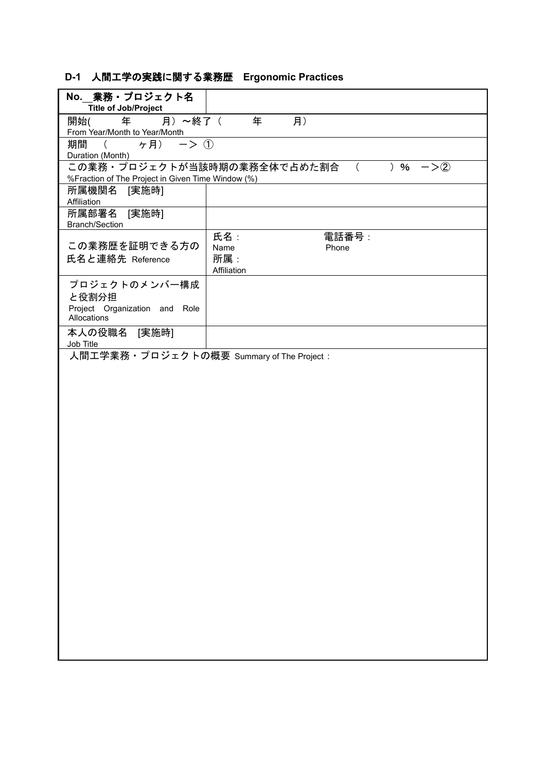## **D-1** 人間工学の実践に関する業務歴 **Ergonomic Practices**

| No. 業務·プロジェクト名                                                         |                                                     |
|------------------------------------------------------------------------|-----------------------------------------------------|
| <b>Title of Job/Project</b><br>月)~終了(<br>年                             | 年                                                   |
| 開始(<br>From Year/Month to Year/Month                                   | 月)                                                  |
| ( $\sigma$ ) $\rightarrow$ (1)<br>期間                                   |                                                     |
| Duration (Month)                                                       |                                                     |
|                                                                        | この業務・プロジェクトが当該時期の業務全体で占めた割合<br>) $\%$<br>$->2)$     |
| %Fraction of The Project in Given Time Window (%)                      |                                                     |
| 所属機関名<br>[実施時]<br>Affiliation                                          |                                                     |
| 所属部署名 [実施時]<br><b>Branch/Section</b>                                   |                                                     |
| この業務歴を証明できる方の<br>氏名と連絡先 Reference                                      | 氏名:<br>電話番号:<br>Name<br>Phone<br>所属:<br>Affiliation |
| プロジェクトのメンバー構成<br>と役割分担<br>Project Organization and Role<br>Allocations |                                                     |
| 本人の役職名 [実施時]<br>Job Title                                              |                                                     |
| 人間工学業務・プロジェクトの概要 Summary of The Project:                               |                                                     |
|                                                                        |                                                     |
|                                                                        |                                                     |
|                                                                        |                                                     |
|                                                                        |                                                     |
|                                                                        |                                                     |
|                                                                        |                                                     |
|                                                                        |                                                     |
|                                                                        |                                                     |
|                                                                        |                                                     |
|                                                                        |                                                     |
|                                                                        |                                                     |
|                                                                        |                                                     |
|                                                                        |                                                     |
|                                                                        |                                                     |
|                                                                        |                                                     |
|                                                                        |                                                     |
|                                                                        |                                                     |
|                                                                        |                                                     |
|                                                                        |                                                     |
|                                                                        |                                                     |
|                                                                        |                                                     |
|                                                                        |                                                     |
|                                                                        |                                                     |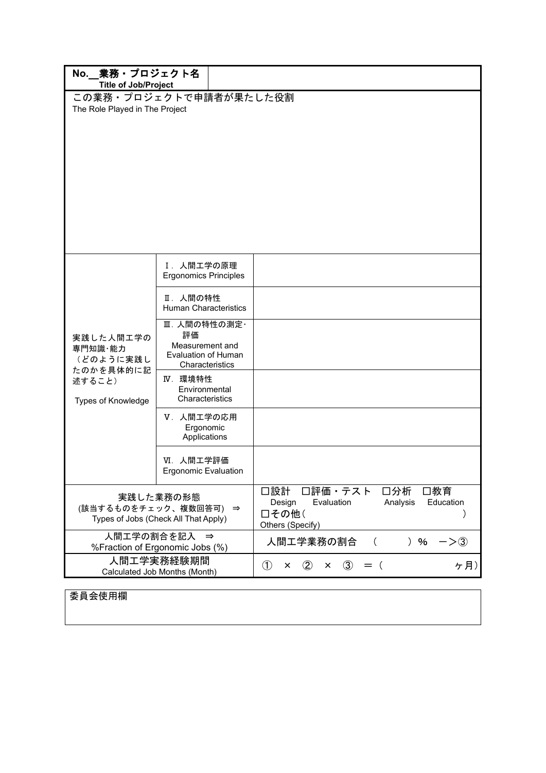|                                                                            | No. 業務 · プロジェクト名<br><b>Title of Job/Project</b>                                 |                                                                                                            |  |  |  |  |  |  |
|----------------------------------------------------------------------------|---------------------------------------------------------------------------------|------------------------------------------------------------------------------------------------------------|--|--|--|--|--|--|
| The Role Played in The Project                                             | この業務・プロジェクトで申請者が果たした役割                                                          |                                                                                                            |  |  |  |  |  |  |
|                                                                            | Ⅰ. 人間工学の原理<br><b>Ergonomics Principles</b>                                      |                                                                                                            |  |  |  |  |  |  |
|                                                                            | Ⅱ. 人間の特性<br><b>Human Characteristics</b>                                        |                                                                                                            |  |  |  |  |  |  |
| 実践した人間工学の<br>専門知識・能力<br>(どのように実践し<br>たのかを具体的に記                             | Ⅲ. 人間の特性の測定·<br>評価<br>Measurement and<br>Evaluation of Human<br>Characteristics |                                                                                                            |  |  |  |  |  |  |
| 述すること)<br>Types of Knowledge                                               | IV. 環境特性<br>Environmental<br>Characteristics                                    |                                                                                                            |  |  |  |  |  |  |
|                                                                            | Ⅴ. 人間工学の応用<br>Ergonomic<br>Applications                                         |                                                                                                            |  |  |  |  |  |  |
|                                                                            | VI. 人間工学評価<br><b>Ergonomic Evaluation</b>                                       |                                                                                                            |  |  |  |  |  |  |
| 実践した業務の形態<br>(該当するものをチェック、複数回答可) ⇒<br>Types of Jobs (Check All That Apply) |                                                                                 | 口評価・テスト<br>口分析<br>口設計<br>□教育<br>Evaluation<br>Analysis<br>Education<br>Design<br>□その他(<br>Others (Specify) |  |  |  |  |  |  |
|                                                                            | 人間工学の割合を記入 ⇒<br>%Fraction of Ergonomic Jobs (%)                                 | 人間エ学業務の割合<br>) $%$<br>$\left($<br>$->(3)$                                                                  |  |  |  |  |  |  |
|                                                                            | 人間工学実務経験期間<br>Calculated Job Months (Month)                                     | $\circled{1}$<br>$\circled{3}$<br>ヶ月)<br>$\circled{2}$<br>$=$ (<br>$\times$<br>×                           |  |  |  |  |  |  |

委員会使用欄